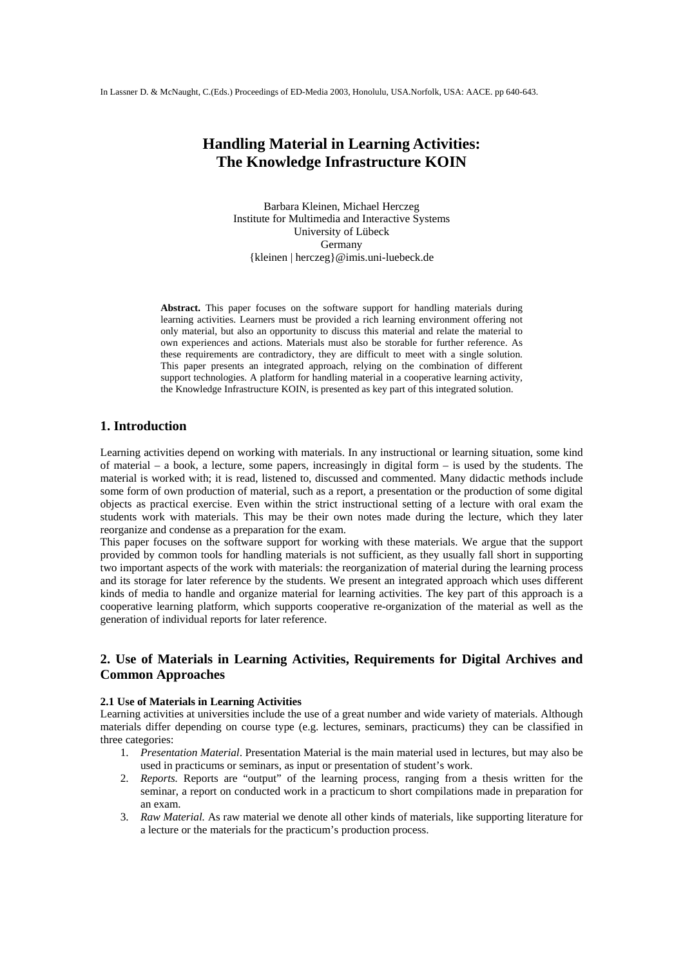# **Handling Material in Learning Activities: The Knowledge Infrastructure KOIN**

Barbara Kleinen, Michael Herczeg Institute for Multimedia and Interactive Systems University of Lübeck **Germany** {kleinen | herczeg}@imis.uni-luebeck.de

**Abstract.** This paper focuses on the software support for handling materials during learning activities. Learners must be provided a rich learning environment offering not only material, but also an opportunity to discuss this material and relate the material to own experiences and actions. Materials must also be storable for further reference. As these requirements are contradictory, they are difficult to meet with a single solution. This paper presents an integrated approach, relying on the combination of different support technologies. A platform for handling material in a cooperative learning activity, the Knowledge Infrastructure KOIN, is presented as key part of this integrated solution.

# **1. Introduction**

Learning activities depend on working with materials. In any instructional or learning situation, some kind of material – a book, a lecture, some papers, increasingly in digital form – is used by the students. The material is worked with; it is read, listened to, discussed and commented. Many didactic methods include some form of own production of material, such as a report, a presentation or the production of some digital objects as practical exercise. Even within the strict instructional setting of a lecture with oral exam the students work with materials. This may be their own notes made during the lecture, which they later reorganize and condense as a preparation for the exam.

This paper focuses on the software support for working with these materials. We argue that the support provided by common tools for handling materials is not sufficient, as they usually fall short in supporting two important aspects of the work with materials: the reorganization of material during the learning process and its storage for later reference by the students. We present an integrated approach which uses different kinds of media to handle and organize material for learning activities. The key part of this approach is a cooperative learning platform, which supports cooperative re-organization of the material as well as the generation of individual reports for later reference.

# **2. Use of Materials in Learning Activities, Requirements for Digital Archives and Common Approaches**

#### **2.1 Use of Materials in Learning Activities**

Learning activities at universities include the use of a great number and wide variety of materials. Although materials differ depending on course type (e.g. lectures, seminars, practicums) they can be classified in three categories:

- 1. *Presentation Material*. Presentation Material is the main material used in lectures, but may also be used in practicums or seminars, as input or presentation of student's work.
- 2. *Reports.* Reports are "output" of the learning process, ranging from a thesis written for the seminar, a report on conducted work in a practicum to short compilations made in preparation for an exam.
- 3. *Raw Material.* As raw material we denote all other kinds of materials, like supporting literature for a lecture or the materials for the practicum's production process.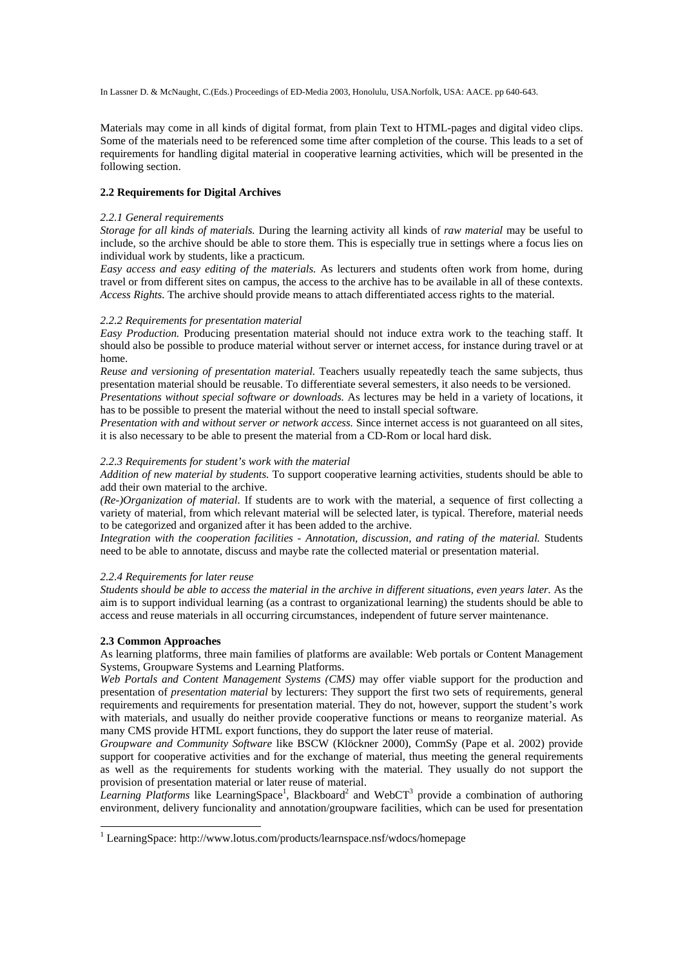Materials may come in all kinds of digital format, from plain Text to HTML-pages and digital video clips. Some of the materials need to be referenced some time after completion of the course. This leads to a set of requirements for handling digital material in cooperative learning activities, which will be presented in the following section.

### **2.2 Requirements for Digital Archives**

#### *2.2.1 General requirements*

*Storage for all kinds of materials.* During the learning activity all kinds of *raw material* may be useful to include, so the archive should be able to store them. This is especially true in settings where a focus lies on individual work by students, like a practicum.

*Easy access and easy editing of the materials.* As lecturers and students often work from home, during travel or from different sites on campus, the access to the archive has to be available in all of these contexts. *Access Rights.* The archive should provide means to attach differentiated access rights to the material.

### *2.2.2 Requirements for presentation material*

*Easy Production.* Producing presentation material should not induce extra work to the teaching staff. It should also be possible to produce material without server or internet access, for instance during travel or at home.

*Reuse and versioning of presentation material.* Teachers usually repeatedly teach the same subjects, thus presentation material should be reusable. To differentiate several semesters, it also needs to be versioned. *Presentations without special software or downloads.* As lectures may be held in a variety of locations, it

has to be possible to present the material without the need to install special software. *Presentation with and without server or network access.* Since internet access is not guaranteed on all sites,

it is also necessary to be able to present the material from a CD-Rom or local hard disk.

### *2.2.3 Requirements for student's work with the material*

*Addition of new material by students.* To support cooperative learning activities, students should be able to add their own material to the archive.

*(Re-)Organization of material.* If students are to work with the material, a sequence of first collecting a variety of material, from which relevant material will be selected later, is typical. Therefore, material needs to be categorized and organized after it has been added to the archive.

*Integration with the cooperation facilities - Annotation, discussion, and rating of the material.* Students need to be able to annotate, discuss and maybe rate the collected material or presentation material.

### *2.2.4 Requirements for later reuse*

*Students should be able to access the material in the archive in different situations, even years later.* As the aim is to support individual learning (as a contrast to organizational learning) the students should be able to access and reuse materials in all occurring circumstances, independent of future server maintenance.

### **2.3 Common Approaches**

 $\overline{a}$ 

As learning platforms, three main families of platforms are available: Web portals or Content Management Systems, Groupware Systems and Learning Platforms.

*Web Portals and Content Management Systems (CMS)* may offer viable support for the production and presentation of *presentation material* by lecturers: They support the first two sets of requirements, general requirements and requirements for presentation material. They do not, however, support the student's work with materials, and usually do neither provide cooperative functions or means to reorganize material. As many CMS provide HTML export functions, they do support the later reuse of material.

*Groupware and Community Software* like BSCW (Klöckner 2000), CommSy (Pape et al. 2002) provide support for cooperative activities and for the exchange of material, thus meeting the general requirements as well as the requirements for students working with the material. They usually do not support the provision of presentation material or later reuse of material.

Learning Platforms like LearningSpace<sup>1</sup>, Blackboard<sup>2</sup> and WebCT<sup>3</sup> provide a combination of authoring environment, delivery funcionality and annotation/groupware facilities, which can be used for presentation

<sup>&</sup>lt;sup>1</sup> LearningSpace: http://www.lotus.com/products/learnspace.nsf/wdocs/homepage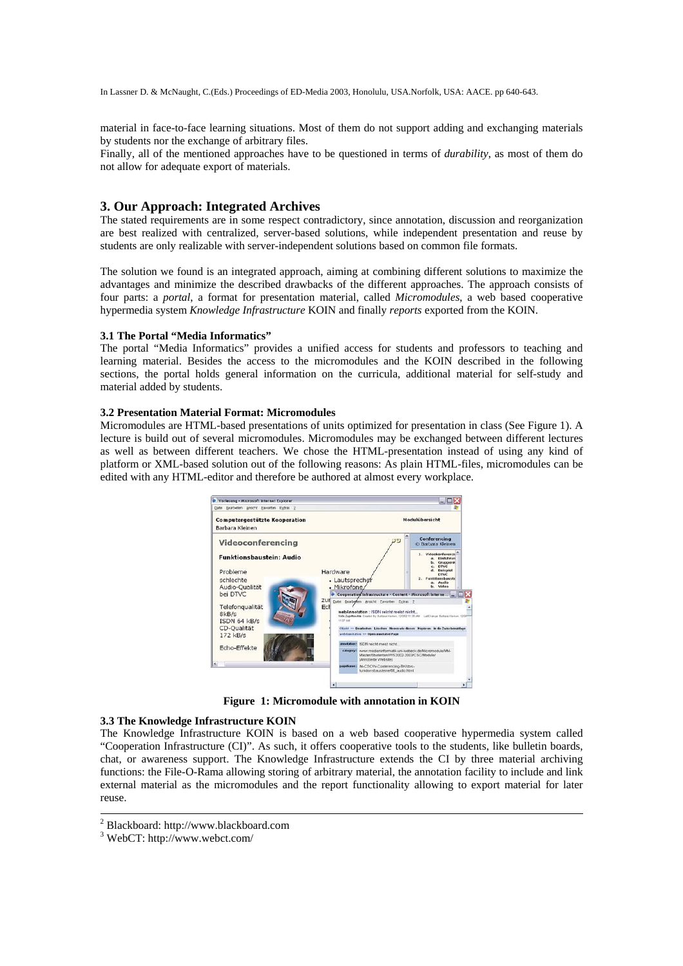material in face-to-face learning situations. Most of them do not support adding and exchanging materials by students nor the exchange of arbitrary files.

Finally, all of the mentioned approaches have to be questioned in terms of *durability*, as most of them do not allow for adequate export of materials.

# **3. Our Approach: Integrated Archives**

The stated requirements are in some respect contradictory, since annotation, discussion and reorganization are best realized with centralized, server-based solutions, while independent presentation and reuse by students are only realizable with server-independent solutions based on common file formats.

The solution we found is an integrated approach, aiming at combining different solutions to maximize the advantages and minimize the described drawbacks of the different approaches. The approach consists of four parts: a *portal*, a format for presentation material, called *Micromodules*, a web based cooperative hypermedia system *Knowledge Infrastructure* KOIN and finally *reports* exported from the KOIN.

### **3.1 The Portal "Media Informatics"**

The portal "Media Informatics" provides a unified access for students and professors to teaching and learning material. Besides the access to the micromodules and the KOIN described in the following sections, the portal holds general information on the curricula, additional material for self-study and material added by students.

### **3.2 Presentation Material Format: Micromodules**

Micromodules are HTML-based presentations of units optimized for presentation in class (See Figure 1). A lecture is build out of several micromodules. Micromodules may be exchanged between different lectures as well as between different teachers. We chose the HTML-presentation instead of using any kind of platform or XML-based solution out of the following reasons: As plain HTML-files, micromodules can be edited with any HTML-editor and therefore be authored at almost every workplace.



**Figure 1: Micromodule with annotation in KOIN** 

#### **3.3 The Knowledge Infrastructure KOIN**

The Knowledge Infrastructure KOIN is based on a web based cooperative hypermedia system called "Cooperation Infrastructure (CI)". As such, it offers cooperative tools to the students, like bulletin boards, chat, or awareness support. The Knowledge Infrastructure extends the CI by three material archiving functions: the File-O-Rama allowing storing of arbitrary material, the annotation facility to include and link external material as the micromodules and the report functionality allowing to export material for later reuse.

<sup>&</sup>lt;sup>2</sup> Blackboard: http://www.blackboard.com

<sup>3</sup> WebCT: http://www.webct.com/